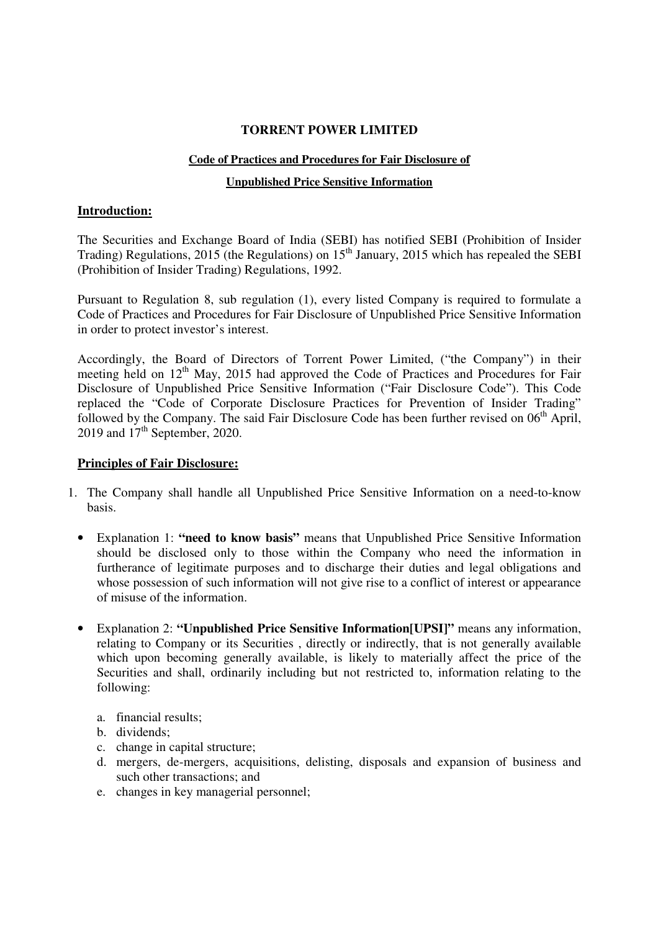# **TORRENT POWER LIMITED**

#### **Code of Practices and Procedures for Fair Disclosure of**

#### **Unpublished Price Sensitive Information**

#### **Introduction:**

The Securities and Exchange Board of India (SEBI) has notified SEBI (Prohibition of Insider Trading) Regulations, 2015 (the Regulations) on  $15^{th}$  January, 2015 which has repealed the SEBI (Prohibition of Insider Trading) Regulations, 1992.

Pursuant to Regulation 8, sub regulation (1), every listed Company is required to formulate a Code of Practices and Procedures for Fair Disclosure of Unpublished Price Sensitive Information in order to protect investor's interest.

Accordingly, the Board of Directors of Torrent Power Limited, ("the Company") in their meeting held on  $12<sup>th</sup>$  May, 2015 had approved the Code of Practices and Procedures for Fair Disclosure of Unpublished Price Sensitive Information ("Fair Disclosure Code"). This Code replaced the "Code of Corporate Disclosure Practices for Prevention of Insider Trading" followed by the Company. The said Fair Disclosure Code has been further revised on  $06<sup>th</sup>$  April, 2019 and  $17<sup>th</sup>$  September, 2020.

### **Principles of Fair Disclosure:**

- 1. The Company shall handle all Unpublished Price Sensitive Information on a need-to-know basis.
	- Explanation 1: **"need to know basis"** means that Unpublished Price Sensitive Information should be disclosed only to those within the Company who need the information in furtherance of legitimate purposes and to discharge their duties and legal obligations and whose possession of such information will not give rise to a conflict of interest or appearance of misuse of the information.
	- Explanation 2: **"Unpublished Price Sensitive Information[UPSI]"** means any information, relating to Company or its Securities , directly or indirectly, that is not generally available which upon becoming generally available, is likely to materially affect the price of the Securities and shall, ordinarily including but not restricted to, information relating to the following:
		- a. financial results;
		- b. dividends;
		- c. change in capital structure;
		- d. mergers, de-mergers, acquisitions, delisting, disposals and expansion of business and such other transactions; and
		- e. changes in key managerial personnel;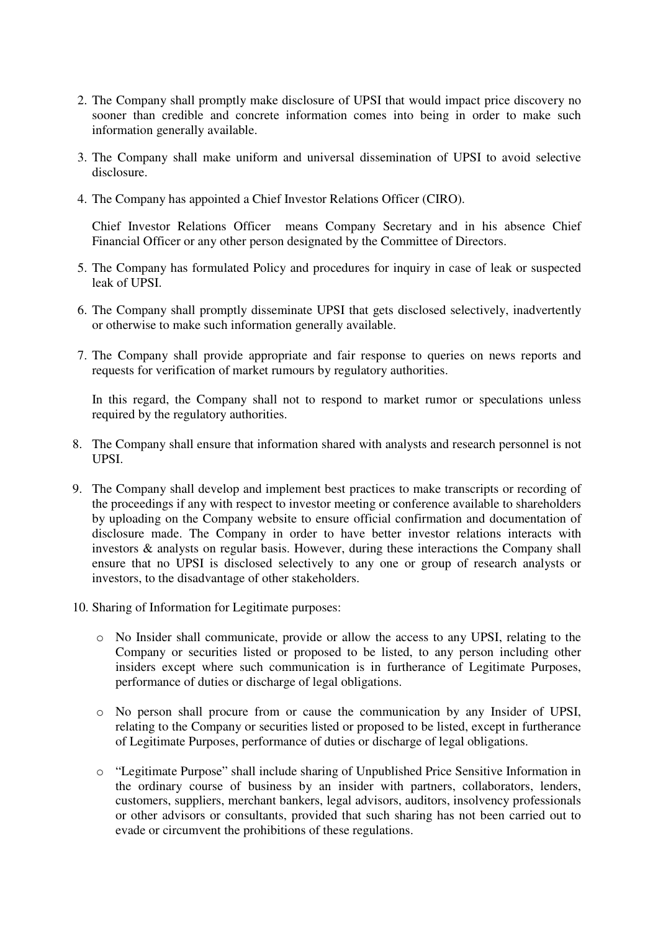- 2. The Company shall promptly make disclosure of UPSI that would impact price discovery no sooner than credible and concrete information comes into being in order to make such information generally available.
- 3. The Company shall make uniform and universal dissemination of UPSI to avoid selective disclosure.
- 4. The Company has appointed a Chief Investor Relations Officer (CIRO).

Chief Investor Relations Officer means Company Secretary and in his absence Chief Financial Officer or any other person designated by the Committee of Directors.

- 5. The Company has formulated Policy and procedures for inquiry in case of leak or suspected leak of UPSI.
- 6. The Company shall promptly disseminate UPSI that gets disclosed selectively, inadvertently or otherwise to make such information generally available.
- 7. The Company shall provide appropriate and fair response to queries on news reports and requests for verification of market rumours by regulatory authorities.

In this regard, the Company shall not to respond to market rumor or speculations unless required by the regulatory authorities.

- 8. The Company shall ensure that information shared with analysts and research personnel is not UPSI.
- 9. The Company shall develop and implement best practices to make transcripts or recording of the proceedings if any with respect to investor meeting or conference available to shareholders by uploading on the Company website to ensure official confirmation and documentation of disclosure made. The Company in order to have better investor relations interacts with investors & analysts on regular basis. However, during these interactions the Company shall ensure that no UPSI is disclosed selectively to any one or group of research analysts or investors, to the disadvantage of other stakeholders.
- 10. Sharing of Information for Legitimate purposes:
	- o No Insider shall communicate, provide or allow the access to any UPSI, relating to the Company or securities listed or proposed to be listed, to any person including other insiders except where such communication is in furtherance of Legitimate Purposes, performance of duties or discharge of legal obligations.
	- o No person shall procure from or cause the communication by any Insider of UPSI, relating to the Company or securities listed or proposed to be listed, except in furtherance of Legitimate Purposes, performance of duties or discharge of legal obligations.
	- o "Legitimate Purpose" shall include sharing of Unpublished Price Sensitive Information in the ordinary course of business by an insider with partners, collaborators, lenders, customers, suppliers, merchant bankers, legal advisors, auditors, insolvency professionals or other advisors or consultants, provided that such sharing has not been carried out to evade or circumvent the prohibitions of these regulations.